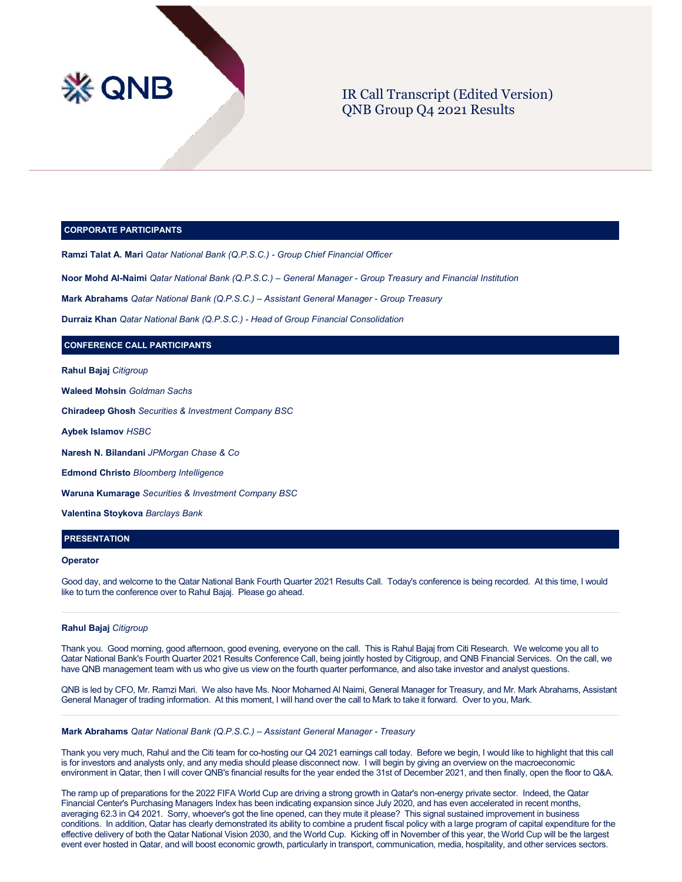

# IR Call Transcript (Edited Version) QNB Group Q4 2021 Results

# **CORPORATE PARTICIPANTS**

**Ramzi Talat A. Mari** *Qatar National Bank (Q.P.S.C.) - Group Chief Financial Officer*

**Noor Mohd Al-Naimi** *Qatar National Bank (Q.P.S.C.) – General Manager - Group Treasury and Financial Institution*

**Mark Abrahams** *Qatar National Bank (Q.P.S.C.) – Assistant General Manager - Group Treasury*

**Durraiz Khan** *Qatar National Bank (Q.P.S.C.) - Head of Group Financial Consolidation*

# **CONFERENCE CALL PARTICIPANTS**

**Rahul Bajaj** *Citigroup*

**Waleed Mohsin** *Goldman Sachs* 

**Chiradeep Ghosh** *Securities & Investment Company BSC*

**Aybek Islamov** *HSBC*

**Naresh N. Bilandani** *JPMorgan Chase & Co*

**Edmond Christo** *Bloomberg Intelligence*

**Waruna Kumarage** *Securities & Investment Company BSC*

**Valentina Stoykova** *Barclays Bank*

# **PRESENTATION**

#### **Operator**

Good day, and welcome to the Qatar National Bank Fourth Quarter 2021 Results Call. Today's conference is being recorded. At this time, I would like to turn the conference over to Rahul Bajaj. Please go ahead.

### **Rahul Bajaj** *Citigroup*

Thank you. Good morning, good afternoon, good evening, everyone on the call. This is Rahul Bajaj from Citi Research. We welcome you all to Qatar National Bank's Fourth Quarter 2021 Results Conference Call, being jointly hosted by Citigroup, and QNB Financial Services. On the call, we have QNB management team with us who give us view on the fourth quarter performance, and also take investor and analyst questions.

QNB is led by CFO, Mr. Ramzi Mari. We also have Ms. Noor Mohamed Al Naimi, General Manager for Treasury, and Mr. Mark Abrahams, Assistant General Manager of trading information. At this moment, I will hand over the call to Mark to take it forward. Over to you, Mark.

# **Mark Abrahams** *Qatar National Bank (Q.P.S.C.) – Assistant General Manager - Treasury*

Thank you very much, Rahul and the Citi team for co-hosting our Q4 2021 earnings call today. Before we begin, I would like to highlight that this call is for investors and analysts only, and any media should please disconnect now. I will begin by giving an overview on the macroeconomic environment in Qatar, then I will cover QNB's financial results for the year ended the 31st of December 2021, and then finally, open the floor to Q&A.

The ramp up of preparations for the 2022 FIFA World Cup are driving a strong growth in Qatar's non-energy private sector. Indeed, the Qatar Financial Center's Purchasing Managers Index has been indicating expansion since July 2020, and has even accelerated in recent months, averaging 62.3 in Q4 2021. Sorry, whoever's got the line opened, can they mute it please? This signal sustained improvement in business conditions. In addition, Qatar has clearly demonstrated its ability to combine a prudent fiscal policy with a large program of capital expenditure for the effective delivery of both the Qatar National Vision 2030, and the World Cup. Kicking off in November of this year, the World Cup will be the largest event ever hosted in Qatar, and will boost economic growth, particularly in transport, communication, media, hospitality, and other services sectors.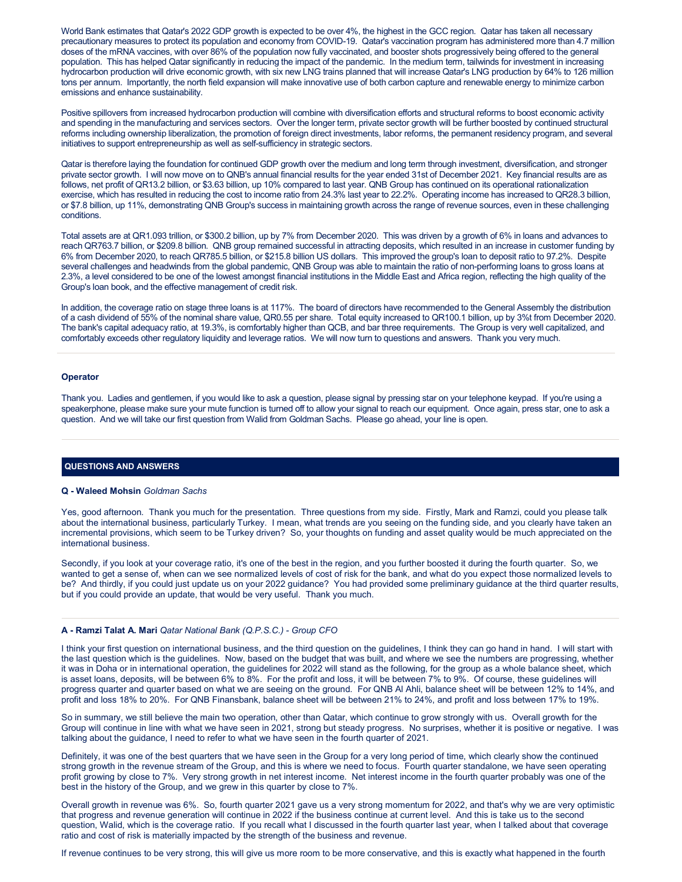World Bank estimates that Qatar's 2022 GDP growth is expected to be over 4%, the highest in the GCC region. Qatar has taken all necessary precautionary measures to protect its population and economy from COVID-19. Qatar's vaccination program has administered more than 4.7 million doses of the mRNA vaccines, with over 86% of the population now fully vaccinated, and booster shots progressively being offered to the general population. This has helped Qatar significantly in reducing the impact of the pandemic. In the medium term, tailwinds for investment in increasing hydrocarbon production will drive economic growth, with six new LNG trains planned that will increase Qatar's LNG production by 64% to 126 million tons per annum. Importantly, the north field expansion will make innovative use of both carbon capture and renewable energy to minimize carbon emissions and enhance sustainability.

Positive spillovers from increased hydrocarbon production will combine with diversification efforts and structural reforms to boost economic activity and spending in the manufacturing and services sectors. Over the longer term, private sector growth will be further boosted by continued structural reforms including ownership liberalization, the promotion of foreign direct investments, labor reforms, the permanent residency program, and several initiatives to support entrepreneurship as well as self-sufficiency in strategic sectors.

Qatar is therefore laying the foundation for continued GDP growth over the medium and long term through investment, diversification, and stronger private sector growth. I will now move on to QNB's annual financial results for the year ended 31st of December 2021. Key financial results are as follows, net profit of QR13.2 billion, or \$3.63 billion, up 10% compared to last year. QNB Group has continued on its operational rationalization exercise, which has resulted in reducing the cost to income ratio from 24.3% last year to 22.2%. Operating income has increased to QR28.3 billion, or \$7.8 billion, up 11%, demonstrating QNB Group's success in maintaining growth across the range of revenue sources, even in these challenging conditions.

Total assets are at QR1.093 trillion, or \$300.2 billion, up by 7% from December 2020. This was driven by a growth of 6% in loans and advances to reach QR763.7 billion, or \$209.8 billion. QNB group remained successful in attracting deposits, which resulted in an increase in customer funding by 6% from December 2020, to reach QR785.5 billion, or \$215.8 billion US dollars. This improved the group's loan to deposit ratio to 97.2%. Despite several challenges and headwinds from the global pandemic, QNB Group was able to maintain the ratio of non-performing loans to gross loans at 2.3%, a level considered to be one of the lowest amongst financial institutions in the Middle East and Africa region, reflecting the high quality of the Group's loan book, and the effective management of credit risk.

In addition, the coverage ratio on stage three loans is at 117%. The board of directors have recommended to the General Assembly the distribution of a cash dividend of 55% of the nominal share value, QR0.55 per share. Total equity increased to QR100.1 billion, up by 3%t from December 2020. The bank's capital adequacy ratio, at 19.3%, is comfortably higher than QCB, and bar three requirements. The Group is very well capitalized, and comfortably exceeds other regulatory liquidity and leverage ratios. We will now turn to questions and answers. Thank you very much.

# **Operator**

Thank you. Ladies and gentlemen, if you would like to ask a question, please signal by pressing star on your telephone keypad. If you're using a speakerphone, please make sure your mute function is turned off to allow your signal to reach our equipment. Once again, press star, one to ask a question. And we will take our first question from Walid from Goldman Sachs. Please go ahead, your line is open.

# **QUESTIONS AND ANSWERS**

# **Q - Waleed Mohsin** *Goldman Sachs*

Yes, good afternoon. Thank you much for the presentation. Three questions from my side. Firstly, Mark and Ramzi, could you please talk about the international business, particularly Turkey. I mean, what trends are you seeing on the funding side, and you clearly have taken an incremental provisions, which seem to be Turkey driven? So, your thoughts on funding and asset quality would be much appreciated on the international business.

Secondly, if you look at your coverage ratio, it's one of the best in the region, and you further boosted it during the fourth quarter. So, we wanted to get a sense of, when can we see normalized levels of cost of risk for the bank, and what do you expect those normalized levels to be? And thirdly, if you could just update us on your 2022 guidance? You had provided some preliminary guidance at the third quarter results, but if you could provide an update, that would be very useful. Thank you much.

# **A - Ramzi Talat A. Mari** *Qatar National Bank (Q.P.S.C.) - Group CFO*

I think your first question on international business, and the third question on the guidelines, I think they can go hand in hand. I will start with the last question which is the guidelines. Now, based on the budget that was built, and where we see the numbers are progressing, whether it was in Doha or in international operation, the guidelines for 2022 will stand as the following, for the group as a whole balance sheet, which is asset loans, deposits, will be between 6% to 8%. For the profit and loss, it will be between 7% to 9%. Of course, these guidelines will progress quarter and quarter based on what we are seeing on the ground. For QNB Al Ahli, balance sheet will be between 12% to 14%, and profit and loss 18% to 20%. For QNB Finansbank, balance sheet will be between 21% to 24%, and profit and loss between 17% to 19%.

So in summary, we still believe the main two operation, other than Qatar, which continue to grow strongly with us. Overall growth for the Group will continue in line with what we have seen in 2021, strong but steady progress. No surprises, whether it is positive or negative. I was talking about the guidance, I need to refer to what we have seen in the fourth quarter of 2021.

Definitely, it was one of the best quarters that we have seen in the Group for a very long period of time, which clearly show the continued strong growth in the revenue stream of the Group, and this is where we need to focus. Fourth quarter standalone, we have seen operating profit growing by close to 7%. Very strong growth in net interest income. Net interest income in the fourth quarter probably was one of the best in the history of the Group, and we grew in this quarter by close to 7%.

Overall growth in revenue was 6%. So, fourth quarter 2021 gave us a very strong momentum for 2022, and that's why we are very optimistic that progress and revenue generation will continue in 2022 if the business continue at current level. And this is take us to the second question, Walid, which is the coverage ratio. If you recall what I discussed in the fourth quarter last year, when I talked about that coverage ratio and cost of risk is materially impacted by the strength of the business and revenue.

If revenue continues to be very strong, this will give us more room to be more conservative, and this is exactly what happened in the fourth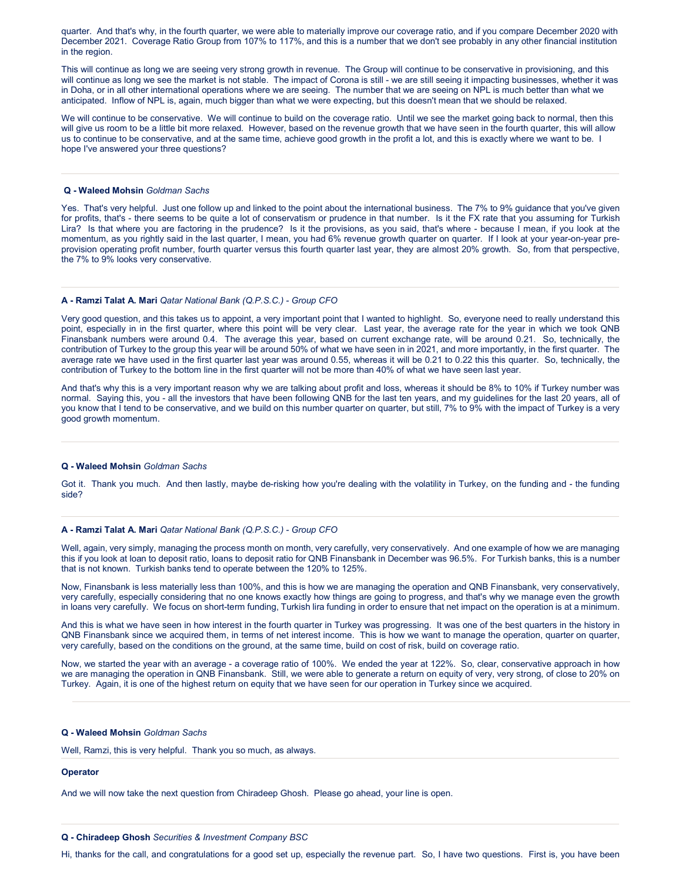quarter. And that's why, in the fourth quarter, we were able to materially improve our coverage ratio, and if you compare December 2020 with December 2021. Coverage Ratio Group from 107% to 117%, and this is a number that we don't see probably in any other financial institution in the region.

This will continue as long we are seeing very strong growth in revenue. The Group will continue to be conservative in provisioning, and this will continue as long we see the market is not stable. The impact of Corona is still - we are still seeing it impacting businesses, whether it was in Doha, or in all other international operations where we are seeing. The number that we are seeing on NPL is much better than what we anticipated. Inflow of NPL is, again, much bigger than what we were expecting, but this doesn't mean that we should be relaxed.

We will continue to be conservative. We will continue to build on the coverage ratio. Until we see the market going back to normal, then this will give us room to be a little bit more relaxed. However, based on the revenue growth that we have seen in the fourth quarter, this will allow us to continue to be conservative, and at the same time, achieve good growth in the profit a lot, and this is exactly where we want to be. I hope I've answered your three questions?

### **Q - Waleed Mohsin** *Goldman Sachs*

Yes. That's very helpful. Just one follow up and linked to the point about the international business. The 7% to 9% guidance that you've given for profits, that's - there seems to be quite a lot of conservatism or prudence in that number. Is it the FX rate that you assuming for Turkish Lira? Is that where you are factoring in the prudence? Is it the provisions, as you said, that's where - because I mean, if you look at the momentum, as you rightly said in the last quarter, I mean, you had 6% revenue growth quarter on quarter. If I look at your year-on-year preprovision operating profit number, fourth quarter versus this fourth quarter last year, they are almost 20% growth. So, from that perspective, the 7% to 9% looks very conservative.

# **A - Ramzi Talat A. Mari** *Qatar National Bank (Q.P.S.C.) - Group CFO*

Very good question, and this takes us to appoint, a very important point that I wanted to highlight. So, everyone need to really understand this point, especially in in the first quarter, where this point will be very clear. Last year, the average rate for the year in which we took QNB Finansbank numbers were around 0.4. The average this year, based on current exchange rate, will be around 0.21. So, technically, the contribution of Turkey to the group this year will be around 50% of what we have seen in in 2021, and more importantly, in the first quarter. The average rate we have used in the first quarter last year was around 0.55, whereas it will be 0.21 to 0.22 this this quarter. So, technically, the contribution of Turkey to the bottom line in the first quarter will not be more than 40% of what we have seen last year.

And that's why this is a very important reason why we are talking about profit and loss, whereas it should be 8% to 10% if Turkey number was normal. Saying this, you - all the investors that have been following QNB for the last ten years, and my guidelines for the last 20 years, all of you know that I tend to be conservative, and we build on this number quarter on quarter, but still, 7% to 9% with the impact of Turkey is a very good growth momentum.

#### **Q - Waleed Mohsin** *Goldman Sachs*

Got it. Thank you much. And then lastly, maybe de-risking how you're dealing with the volatility in Turkey, on the funding and - the funding side?

# **A - Ramzi Talat A. Mari** *Qatar National Bank (Q.P.S.C.) - Group CFO*

Well, again, very simply, managing the process month on month, very carefully, very conservatively. And one example of how we are managing this if you look at loan to deposit ratio, loans to deposit ratio for QNB Finansbank in December was 96.5%. For Turkish banks, this is a number that is not known. Turkish banks tend to operate between the 120% to 125%.

Now, Finansbank is less materially less than 100%, and this is how we are managing the operation and QNB Finansbank, very conservatively, very carefully, especially considering that no one knows exactly how things are going to progress, and that's why we manage even the growth in loans very carefully. We focus on short-term funding, Turkish lira funding in order to ensure that net impact on the operation is at a minimum.

And this is what we have seen in how interest in the fourth quarter in Turkey was progressing. It was one of the best quarters in the history in QNB Finansbank since we acquired them, in terms of net interest income. This is how we want to manage the operation, quarter on quarter, very carefully, based on the conditions on the ground, at the same time, build on cost of risk, build on coverage ratio.

Now, we started the year with an average - a coverage ratio of 100%. We ended the year at 122%. So, clear, conservative approach in how we are managing the operation in QNB Finansbank. Still, we were able to generate a return on equity of very, very strong, of close to 20% on Turkey. Again, it is one of the highest return on equity that we have seen for our operation in Turkey since we acquired.

# **Q - Waleed Mohsin** *Goldman Sachs*

Well, Ramzi, this is very helpful. Thank you so much, as always.

#### **Operator**

And we will now take the next question from Chiradeep Ghosh. Please go ahead, your line is open.

# **Q - Chiradeep Ghosh** *Securities & Investment Company BSC*

Hi, thanks for the call, and congratulations for a good set up, especially the revenue part. So, I have two questions. First is, you have been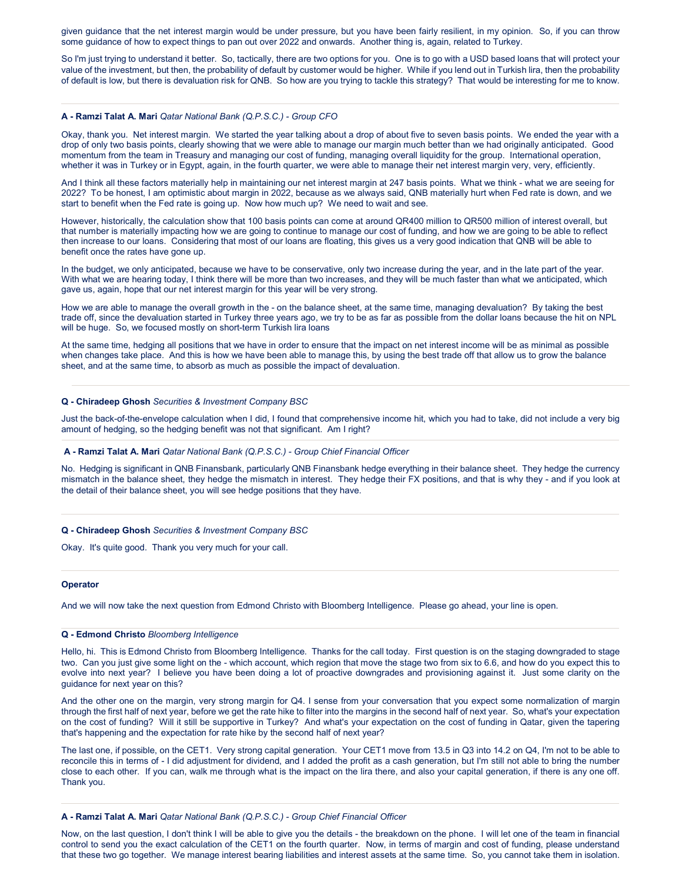given guidance that the net interest margin would be under pressure, but you have been fairly resilient, in my opinion. So, if you can throw some guidance of how to expect things to pan out over 2022 and onwards. Another thing is, again, related to Turkey.

So I'm just trying to understand it better. So, tactically, there are two options for you. One is to go with a USD based loans that will protect your value of the investment, but then, the probability of default by customer would be higher. While if you lend out in Turkish lira, then the probability of default is low, but there is devaluation risk for QNB. So how are you trying to tackle this strategy? That would be interesting for me to know.

# **A - Ramzi Talat A. Mari** *Qatar National Bank (Q.P.S.C.) - Group CFO*

Okay, thank you. Net interest margin. We started the year talking about a drop of about five to seven basis points. We ended the year with a drop of only two basis points, clearly showing that we were able to manage our margin much better than we had originally anticipated. Good momentum from the team in Treasury and managing our cost of funding, managing overall liquidity for the group. International operation, whether it was in Turkey or in Egypt, again, in the fourth quarter, we were able to manage their net interest margin very, very, efficiently.

And I think all these factors materially help in maintaining our net interest margin at 247 basis points. What we think - what we are seeing for 2022? To be honest, I am optimistic about margin in 2022, because as we always said, QNB materially hurt when Fed rate is down, and we start to benefit when the Fed rate is going up. Now how much up? We need to wait and see.

However, historically, the calculation show that 100 basis points can come at around QR400 million to QR500 million of interest overall, but that number is materially impacting how we are going to continue to manage our cost of funding, and how we are going to be able to reflect then increase to our loans. Considering that most of our loans are floating, this gives us a very good indication that QNB will be able to benefit once the rates have gone up.

In the budget, we only anticipated, because we have to be conservative, only two increase during the year, and in the late part of the year. With what we are hearing today, I think there will be more than two increases, and they will be much faster than what we anticipated, which gave us, again, hope that our net interest margin for this year will be very strong.

How we are able to manage the overall growth in the - on the balance sheet, at the same time, managing devaluation? By taking the best trade off, since the devaluation started in Turkey three years ago, we try to be as far as possible from the dollar loans because the hit on NPL will be huge. So, we focused mostly on short-term Turkish lira loans

At the same time, hedging all positions that we have in order to ensure that the impact on net interest income will be as minimal as possible when changes take place. And this is how we have been able to manage this, by using the best trade off that allow us to grow the balance sheet, and at the same time, to absorb as much as possible the impact of devaluation.

# **Q - Chiradeep Ghosh** *Securities & Investment Company BSC*

Just the back-of-the-envelope calculation when I did, I found that comprehensive income hit, which you had to take, did not include a very big amount of hedging, so the hedging benefit was not that significant. Am I right?

# **A - Ramzi Talat A. Mari** *Qatar National Bank (Q.P.S.C.) - Group Chief Financial Officer*

No. Hedging is significant in QNB Finansbank, particularly QNB Finansbank hedge everything in their balance sheet. They hedge the currency mismatch in the balance sheet, they hedge the mismatch in interest. They hedge their FX positions, and that is why they - and if you look at the detail of their balance sheet, you will see hedge positions that they have.

### **Q - Chiradeep Ghosh** *Securities & Investment Company BSC*

Okay. It's quite good. Thank you very much for your call.

### **Operator**

And we will now take the next question from Edmond Christo with Bloomberg Intelligence. Please go ahead, your line is open.

# **Q - Edmond Christo** *Bloomberg Intelligence*

Hello, hi. This is Edmond Christo from Bloomberg Intelligence. Thanks for the call today. First question is on the staging downgraded to stage two. Can you just give some light on the - which account, which region that move the stage two from six to 6.6, and how do you expect this to evolve into next year? I believe you have been doing a lot of proactive downgrades and provisioning against it. Just some clarity on the guidance for next year on this?

And the other one on the margin, very strong margin for Q4. I sense from your conversation that you expect some normalization of margin through the first half of next year, before we get the rate hike to filter into the margins in the second half of next year. So, what's your expectation on the cost of funding? Will it still be supportive in Turkey? And what's your expectation on the cost of funding in Qatar, given the tapering that's happening and the expectation for rate hike by the second half of next year?

The last one, if possible, on the CET1. Very strong capital generation. Your CET1 move from 13.5 in Q3 into 14.2 on Q4, I'm not to be able to reconcile this in terms of - I did adjustment for dividend, and I added the profit as a cash generation, but I'm still not able to bring the number close to each other. If you can, walk me through what is the impact on the lira there, and also your capital generation, if there is any one off. Thank you.

### **A - Ramzi Talat A. Mari** *Qatar National Bank (Q.P.S.C.) - Group Chief Financial Officer*

Now, on the last question, I don't think I will be able to give you the details - the breakdown on the phone. I will let one of the team in financial control to send you the exact calculation of the CET1 on the fourth quarter. Now, in terms of margin and cost of funding, please understand that these two go together. We manage interest bearing liabilities and interest assets at the same time. So, you cannot take them in isolation.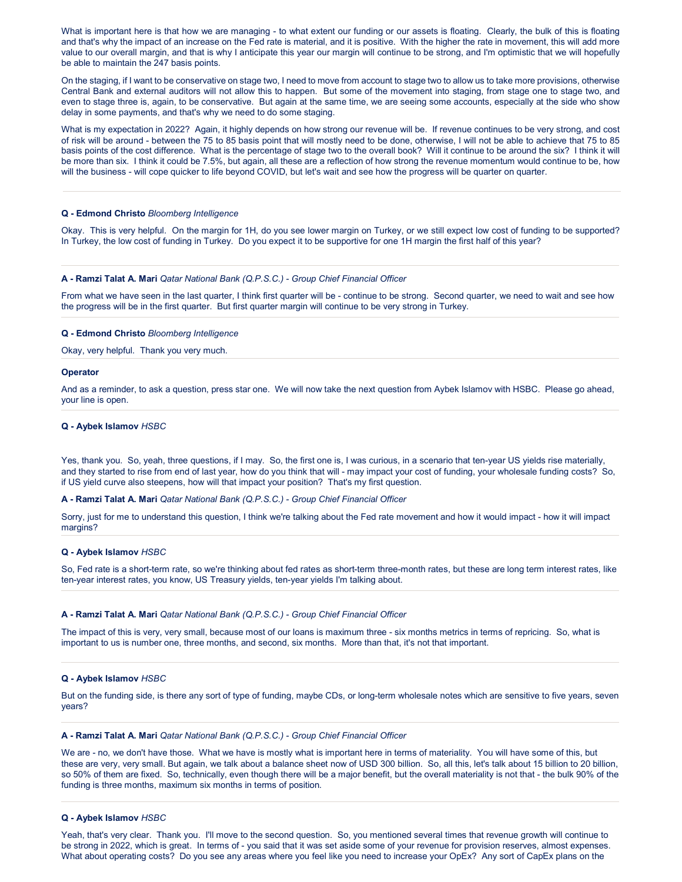What is important here is that how we are managing - to what extent our funding or our assets is floating. Clearly, the bulk of this is floating and that's why the impact of an increase on the Fed rate is material, and it is positive. With the higher the rate in movement, this will add more value to our overall margin, and that is why I anticipate this year our margin will continue to be strong, and I'm optimistic that we will hopefully be able to maintain the 247 basis points.

On the staging, if I want to be conservative on stage two, I need to move from account to stage two to allow us to take more provisions, otherwise Central Bank and external auditors will not allow this to happen. But some of the movement into staging, from stage one to stage two, and even to stage three is, again, to be conservative. But again at the same time, we are seeing some accounts, especially at the side who show delay in some payments, and that's why we need to do some staging.

What is my expectation in 2022? Again, it highly depends on how strong our revenue will be. If revenue continues to be very strong, and cost of risk will be around - between the 75 to 85 basis point that will mostly need to be done, otherwise, I will not be able to achieve that 75 to 85 basis points of the cost difference. What is the percentage of stage two to the overall book? Will it continue to be around the six? I think it will be more than six. I think it could be 7.5%, but again, all these are a reflection of how strong the revenue momentum would continue to be, how will the business - will cope quicker to life beyond COVID, but let's wait and see how the progress will be quarter on quarter.

# **Q - Edmond Christo** *Bloomberg Intelligence*

Okay. This is very helpful. On the margin for 1H, do you see lower margin on Turkey, or we still expect low cost of funding to be supported? In Turkey, the low cost of funding in Turkey. Do you expect it to be supportive for one 1H margin the first half of this year?

### **A - Ramzi Talat A. Mari** *Qatar National Bank (Q.P.S.C.) - Group Chief Financial Officer*

From what we have seen in the last quarter, I think first quarter will be - continue to be strong. Second quarter, we need to wait and see how the progress will be in the first quarter. But first quarter margin will continue to be very strong in Turkey.

# **Q - Edmond Christo** *Bloomberg Intelligence*

Okay, very helpful. Thank you very much.

### **Operator**

And as a reminder, to ask a question, press star one. We will now take the next question from Aybek Islamov with HSBC. Please go ahead, your line is open.

# **Q - Aybek Islamov** *HSBC*

Yes, thank you. So, yeah, three questions, if I may. So, the first one is, I was curious, in a scenario that ten-year US yields rise materially, and they started to rise from end of last year, how do you think that will - may impact your cost of funding, your wholesale funding costs? So, if US yield curve also steepens, how will that impact your position? That's my first question.

### **A - Ramzi Talat A. Mari** *Qatar National Bank (Q.P.S.C.) - Group Chief Financial Officer*

Sorry, just for me to understand this question, I think we're talking about the Fed rate movement and how it would impact - how it will impact margins?

# **Q - Aybek Islamov** *HSBC*

So, Fed rate is a short-term rate, so we're thinking about fed rates as short-term three-month rates, but these are long term interest rates, like ten-year interest rates, you know, US Treasury yields, ten-year yields I'm talking about.

### **A - Ramzi Talat A. Mari** *Qatar National Bank (Q.P.S.C.) - Group Chief Financial Officer*

The impact of this is very, very small, because most of our loans is maximum three - six months metrics in terms of repricing. So, what is important to us is number one, three months, and second, six months. More than that, it's not that important.

# **Q - Aybek Islamov** *HSBC*

But on the funding side, is there any sort of type of funding, maybe CDs, or long-term wholesale notes which are sensitive to five years, seven years?

# **A - Ramzi Talat A. Mari** *Qatar National Bank (Q.P.S.C.) - Group Chief Financial Officer*

We are - no, we don't have those. What we have is mostly what is important here in terms of materiality. You will have some of this, but these are very, very small. But again, we talk about a balance sheet now of USD 300 billion. So, all this, let's talk about 15 billion to 20 billion, so 50% of them are fixed. So, technically, even though there will be a major benefit, but the overall materiality is not that - the bulk 90% of the funding is three months, maximum six months in terms of position.

### **Q - Aybek Islamov** *HSBC*

Yeah, that's very clear. Thank you. I'll move to the second question. So, you mentioned several times that revenue growth will continue to be strong in 2022, which is great. In terms of - you said that it was set aside some of your revenue for provision reserves, almost expenses. What about operating costs? Do you see any areas where you feel like you need to increase your OpEx? Any sort of CapEx plans on the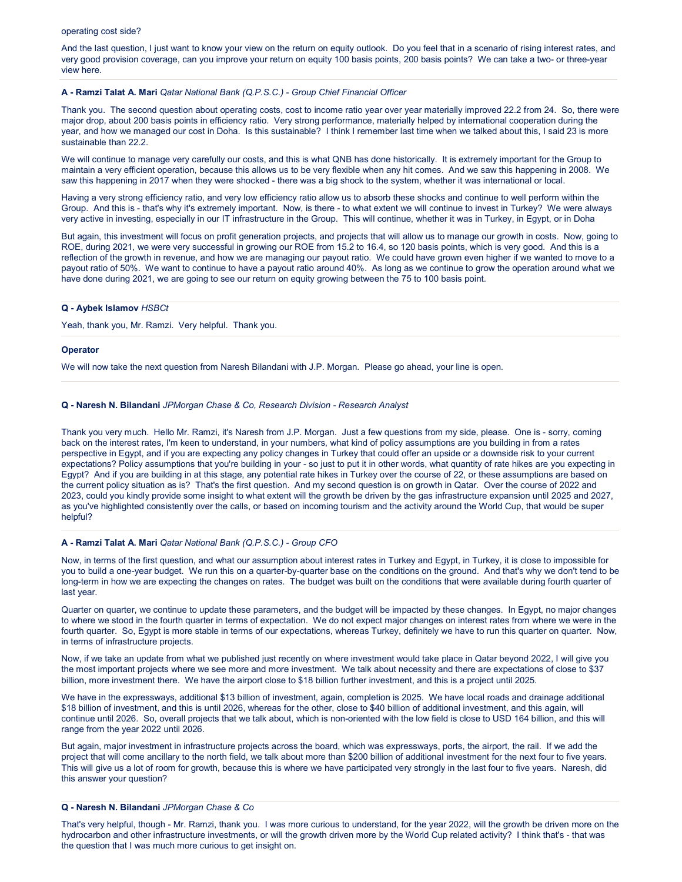# operating cost side?

And the last question, I just want to know your view on the return on equity outlook. Do you feel that in a scenario of rising interest rates, and very good provision coverage, can you improve your return on equity 100 basis points, 200 basis points? We can take a two- or three-year view here.

# **A - Ramzi Talat A. Mari** *Qatar National Bank (Q.P.S.C.) - Group Chief Financial Officer*

Thank you. The second question about operating costs, cost to income ratio year over year materially improved 22.2 from 24. So, there were major drop, about 200 basis points in efficiency ratio. Very strong performance, materially helped by international cooperation during the year, and how we managed our cost in Doha. Is this sustainable? I think I remember last time when we talked about this, I said 23 is more sustainable than 22.2.

We will continue to manage very carefully our costs, and this is what QNB has done historically. It is extremely important for the Group to maintain a very efficient operation, because this allows us to be very flexible when any hit comes. And we saw this happening in 2008. We saw this happening in 2017 when they were shocked - there was a big shock to the system, whether it was international or local.

Having a very strong efficiency ratio, and very low efficiency ratio allow us to absorb these shocks and continue to well perform within the Group. And this is - that's why it's extremely important. Now, is there - to what extent we will continue to invest in Turkey? We were always very active in investing, especially in our IT infrastructure in the Group. This will continue, whether it was in Turkey, in Egypt, or in Doha

But again, this investment will focus on profit generation projects, and projects that will allow us to manage our growth in costs. Now, going to ROE, during 2021, we were very successful in growing our ROE from 15.2 to 16.4, so 120 basis points, which is very good. And this is a reflection of the growth in revenue, and how we are managing our payout ratio. We could have grown even higher if we wanted to move to a payout ratio of 50%. We want to continue to have a payout ratio around 40%. As long as we continue to grow the operation around what we have done during 2021, we are going to see our return on equity growing between the 75 to 100 basis point.

# **Q - Aybek Islamov** *HSBCt*

Yeah, thank you, Mr. Ramzi. Very helpful. Thank you.

### **Operator**

We will now take the next question from Naresh Bilandani with J.P. Morgan. Please go ahead, your line is open.

# **Q - Naresh N. Bilandani** *JPMorgan Chase & Co, Research Division - Research Analyst*

Thank you very much. Hello Mr. Ramzi, it's Naresh from J.P. Morgan. Just a few questions from my side, please. One is - sorry, coming back on the interest rates, I'm keen to understand, in your numbers, what kind of policy assumptions are you building in from a rates perspective in Egypt, and if you are expecting any policy changes in Turkey that could offer an upside or a downside risk to your current expectations? Policy assumptions that you're building in your - so just to put it in other words, what quantity of rate hikes are you expecting in Egypt? And if you are building in at this stage, any potential rate hikes in Turkey over the course of 22, or these assumptions are based on the current policy situation as is? That's the first question. And my second question is on growth in Qatar. Over the course of 2022 and 2023, could you kindly provide some insight to what extent will the growth be driven by the gas infrastructure expansion until 2025 and 2027, as you've highlighted consistently over the calls, or based on incoming tourism and the activity around the World Cup, that would be super helpful?

### **A - Ramzi Talat A. Mari** *Qatar National Bank (Q.P.S.C.) - Group CFO*

Now, in terms of the first question, and what our assumption about interest rates in Turkey and Egypt, in Turkey, it is close to impossible for you to build a one-year budget. We run this on a quarter-by-quarter base on the conditions on the ground. And that's why we don't tend to be long-term in how we are expecting the changes on rates. The budget was built on the conditions that were available during fourth quarter of last year.

Quarter on quarter, we continue to update these parameters, and the budget will be impacted by these changes. In Egypt, no major changes to where we stood in the fourth quarter in terms of expectation. We do not expect major changes on interest rates from where we were in the fourth quarter. So, Egypt is more stable in terms of our expectations, whereas Turkey, definitely we have to run this quarter on quarter. Now, in terms of infrastructure projects.

Now, if we take an update from what we published just recently on where investment would take place in Qatar beyond 2022, I will give you the most important projects where we see more and more investment. We talk about necessity and there are expectations of close to \$37 billion, more investment there. We have the airport close to \$18 billion further investment, and this is a project until 2025.

We have in the expressways, additional \$13 billion of investment, again, completion is 2025. We have local roads and drainage additional \$18 billion of investment, and this is until 2026, whereas for the other, close to \$40 billion of additional investment, and this again, will continue until 2026. So, overall projects that we talk about, which is non-oriented with the low field is close to USD 164 billion, and this will range from the year 2022 until 2026.

But again, major investment in infrastructure projects across the board, which was expressways, ports, the airport, the rail. If we add the project that will come ancillary to the north field, we talk about more than \$200 billion of additional investment for the next four to five years. This will give us a lot of room for growth, because this is where we have participated very strongly in the last four to five years. Naresh, did this answer your question?

# **Q - Naresh N. Bilandani** *JPMorgan Chase & Co*

That's very helpful, though - Mr. Ramzi, thank you. I was more curious to understand, for the year 2022, will the growth be driven more on the hydrocarbon and other infrastructure investments, or will the growth driven more by the World Cup related activity? I think that's - that was the question that I was much more curious to get insight on.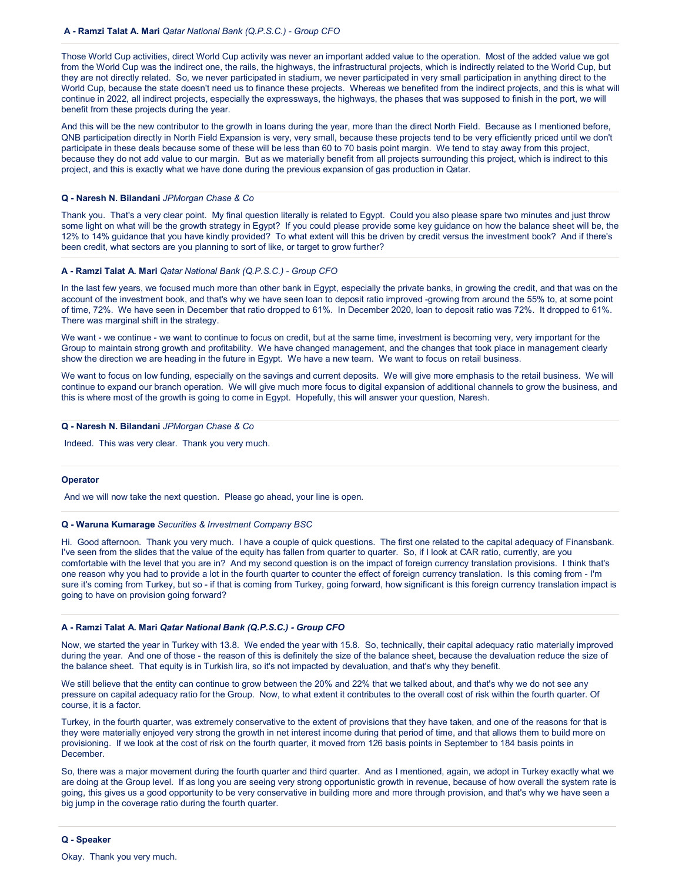Those World Cup activities, direct World Cup activity was never an important added value to the operation. Most of the added value we got from the World Cup was the indirect one, the rails, the highways, the infrastructural projects, which is indirectly related to the World Cup, but they are not directly related. So, we never participated in stadium, we never participated in very small participation in anything direct to the World Cup, because the state doesn't need us to finance these projects. Whereas we benefited from the indirect projects, and this is what will continue in 2022, all indirect projects, especially the expressways, the highways, the phases that was supposed to finish in the port, we will benefit from these projects during the year.

And this will be the new contributor to the growth in loans during the year, more than the direct North Field. Because as I mentioned before, QNB participation directly in North Field Expansion is very, very small, because these projects tend to be very efficiently priced until we don't participate in these deals because some of these will be less than 60 to 70 basis point margin. We tend to stay away from this project, because they do not add value to our margin. But as we materially benefit from all projects surrounding this project, which is indirect to this project, and this is exactly what we have done during the previous expansion of gas production in Qatar.

# **Q - Naresh N. Bilandani** *JPMorgan Chase & Co*

Thank you. That's a very clear point. My final question literally is related to Egypt. Could you also please spare two minutes and just throw some light on what will be the growth strategy in Egypt? If you could please provide some key guidance on how the balance sheet will be, the 12% to 14% guidance that you have kindly provided? To what extent will this be driven by credit versus the investment book? And if there's been credit, what sectors are you planning to sort of like, or target to grow further?

# **A - Ramzi Talat A. Mari** *Qatar National Bank (Q.P.S.C.) - Group CFO*

In the last few years, we focused much more than other bank in Egypt, especially the private banks, in growing the credit, and that was on the account of the investment book, and that's why we have seen loan to deposit ratio improved -growing from around the 55% to, at some point of time, 72%. We have seen in December that ratio dropped to 61%. In December 2020, loan to deposit ratio was 72%. It dropped to 61%. There was marginal shift in the strategy.

We want - we continue - we want to continue to focus on credit, but at the same time, investment is becoming very, very important for the Group to maintain strong growth and profitability. We have changed management, and the changes that took place in management clearly show the direction we are heading in the future in Egypt. We have a new team. We want to focus on retail business.

We want to focus on low funding, especially on the savings and current deposits. We will give more emphasis to the retail business. We will continue to expand our branch operation. We will give much more focus to digital expansion of additional channels to grow the business, and this is where most of the growth is going to come in Egypt. Hopefully, this will answer your question, Naresh.

# **Q - Naresh N. Bilandani** *JPMorgan Chase & Co*

Indeed. This was very clear. Thank you very much.

# **Operator**

And we will now take the next question. Please go ahead, your line is open.

# **Q - Waruna Kumarage** *Securities & Investment Company BSC*

Hi. Good afternoon. Thank you very much. I have a couple of quick questions. The first one related to the capital adequacy of Finansbank. I've seen from the slides that the value of the equity has fallen from quarter to quarter. So, if I look at CAR ratio, currently, are you comfortable with the level that you are in? And my second question is on the impact of foreign currency translation provisions. I think that's one reason why you had to provide a lot in the fourth quarter to counter the effect of foreign currency translation. Is this coming from - I'm sure it's coming from Turkey, but so - if that is coming from Turkey, going forward, how significant is this foreign currency translation impact is going to have on provision going forward?

# **A - Ramzi Talat A. Mari** *Qatar National Bank (Q.P.S.C.) - Group CFO*

Now, we started the year in Turkey with 13.8. We ended the year with 15.8. So, technically, their capital adequacy ratio materially improved during the year. And one of those - the reason of this is definitely the size of the balance sheet, because the devaluation reduce the size of the balance sheet. That equity is in Turkish lira, so it's not impacted by devaluation, and that's why they benefit.

We still believe that the entity can continue to grow between the 20% and 22% that we talked about, and that's why we do not see any pressure on capital adequacy ratio for the Group. Now, to what extent it contributes to the overall cost of risk within the fourth quarter. Of course, it is a factor.

Turkey, in the fourth quarter, was extremely conservative to the extent of provisions that they have taken, and one of the reasons for that is they were materially enjoyed very strong the growth in net interest income during that period of time, and that allows them to build more on provisioning. If we look at the cost of risk on the fourth quarter, it moved from 126 basis points in September to 184 basis points in December.

So, there was a major movement during the fourth quarter and third quarter. And as I mentioned, again, we adopt in Turkey exactly what we are doing at the Group level. If as long you are seeing very strong opportunistic growth in revenue, because of how overall the system rate is going, this gives us a good opportunity to be very conservative in building more and more through provision, and that's why we have seen a big jump in the coverage ratio during the fourth quarter.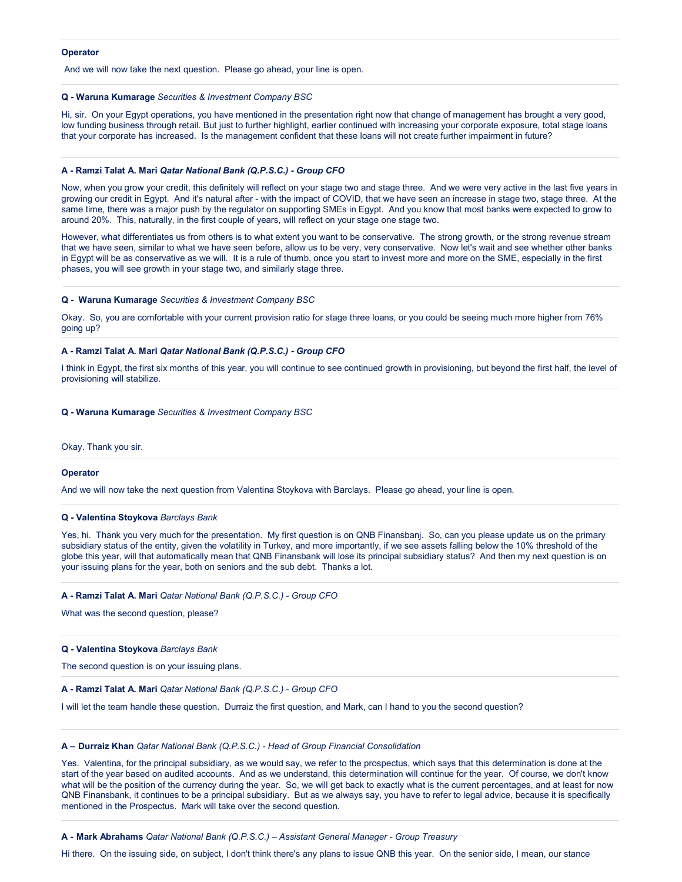# **Operator**

And we will now take the next question. Please go ahead, your line is open.

### **Q - Waruna Kumarage** *Securities & Investment Company BSC*

Hi, sir. On your Egypt operations, you have mentioned in the presentation right now that change of management has brought a very good, low funding business through retail. But just to further highlight, earlier continued with increasing your corporate exposure, total stage loans that your corporate has increased. Is the management confident that these loans will not create further impairment in future?

# **A - Ramzi Talat A. Mari** *Qatar National Bank (Q.P.S.C.) - Group CFO*

Now, when you grow your credit, this definitely will reflect on your stage two and stage three. And we were very active in the last five years in growing our credit in Egypt. And it's natural after - with the impact of COVID, that we have seen an increase in stage two, stage three. At the same time, there was a major push by the regulator on supporting SMEs in Egypt. And you know that most banks were expected to grow to around 20%. This, naturally, in the first couple of years, will reflect on your stage one stage two.

However, what differentiates us from others is to what extent you want to be conservative. The strong growth, or the strong revenue stream that we have seen, similar to what we have seen before, allow us to be very, very conservative. Now let's wait and see whether other banks in Egypt will be as conservative as we will. It is a rule of thumb, once you start to invest more and more on the SME, especially in the first phases, you will see growth in your stage two, and similarly stage three.

### **Q - Waruna Kumarage** *Securities & Investment Company BSC*

Okay. So, you are comfortable with your current provision ratio for stage three loans, or you could be seeing much more higher from 76% going up?

#### **A - Ramzi Talat A. Mari** *Qatar National Bank (Q.P.S.C.) - Group CFO*

I think in Egypt, the first six months of this year, you will continue to see continued growth in provisioning, but beyond the first half, the level of provisioning will stabilize.

# **Q - Waruna Kumarage** *Securities & Investment Company BSC*

Okay. Thank you sir.

### **Operator**

And we will now take the next question from Valentina Stoykova with Barclays. Please go ahead, your line is open.

# **Q - Valentina Stoykova** *Barclays Bank*

Yes, hi. Thank you very much for the presentation. My first question is on QNB Finansbanj. So, can you please update us on the primary subsidiary status of the entity, given the volatility in Turkey, and more importantly, if we see assets falling below the 10% threshold of the globe this year, will that automatically mean that QNB Finansbank will lose its principal subsidiary status? And then my next question is on your issuing plans for the year, both on seniors and the sub debt. Thanks a lot.

### **A - Ramzi Talat A. Mari** *Qatar National Bank (Q.P.S.C.) - Group CFO*

What was the second question, please?

# **Q - Valentina Stoykova** *Barclays Bank*

The second question is on your issuing plans.

# **A - Ramzi Talat A. Mari** *Qatar National Bank (Q.P.S.C.) - Group CFO*

I will let the team handle these question. Durraiz the first question, and Mark, can I hand to you the second question?

# **A – Durraiz Khan** *Qatar National Bank (Q.P.S.C.) - Head of Group Financial Consolidation*

Yes. Valentina, for the principal subsidiary, as we would say, we refer to the prospectus, which says that this determination is done at the start of the year based on audited accounts. And as we understand, this determination will continue for the year. Of course, we don't know what will be the position of the currency during the year. So, we will get back to exactly what is the current percentages, and at least for now QNB Finansbank, it continues to be a principal subsidiary. But as we always say, you have to refer to legal advice, because it is specifically mentioned in the Prospectus. Mark will take over the second question.

# **A - Mark Abrahams** *Qatar National Bank (Q.P.S.C.) – Assistant General Manager - Group Treasury*

Hi there. On the issuing side, on subject, I don't think there's any plans to issue QNB this year. On the senior side, I mean, our stance